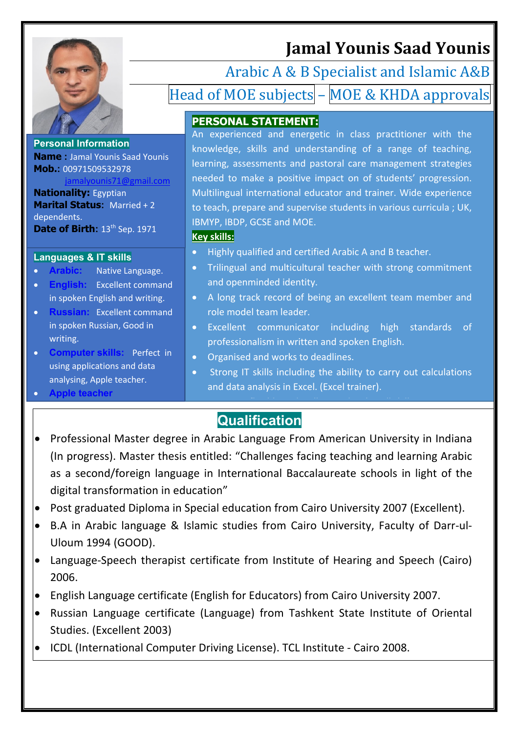

**Personal Information**

**Mob.:** 00971509532978

**Nationality:** Egyptian

**Languages & IT skills**

• **Apple teacher** 

dependents.

writing.

**Marital Status:** Married + 2

**Date of Birth: 13<sup>th</sup> Sep. 1971** 

**Arabic:** Native Language. **English:** Excellent command in spoken English and writing. • **Russian:** Excellent command in spoken Russian, Good in

• **Computer skills:** Perfect in using applications and data analysing, Apple teacher.

**Name :** Jamal Younis Saad Younis

ounis71@gmail.com

**Jamal Younis Saad Younis**

Arabic A & B Specialist and Islamic A&B Head of MOE subjects – MOE & KHDA approvals

### **PERSONAL STATEMENT:**

An experienced and energetic in class practitioner with the knowledge, skills and understanding of a range of teaching, learning, assessments and pastoral care management strategies needed to make a positive impact on of students' progression. Multilingual international educator and trainer. Wide experience to teach, prepare and supervise students in various curricula ; UK, IBMYP, IBDP, GCSE and MOE.

#### **Key skills:**

- Highly qualified and certified Arabic A and B teacher.
- Trilingual and multicultural teacher with strong commitment and openminded identity.
- A long track record of being an excellent team member and role model team leader.
- Excellent communicator including high standards of professionalism in written and spoken English.
- Organised and works to deadlines.
- Strong IT skills including the ability to carry out calculations and data analysis in Excel. (Excel trainer).

 $\mathcal{P}(\mathcal{P})=\mathcal{P}(\mathcal{P})$  and we like all skills.

## **Qualification**

- Professional Master degree in Arabic Language From American University in Indiana (In progress). Master thesis entitled: "Challenges facing teaching and learning Arabic as a second/foreign language in International Baccalaureate schools in light of the digital transformation in education"
- Post graduated Diploma in Special education from Cairo University 2007 (Excellent).
- B.A in Arabic language & Islamic studies from Cairo University, Faculty of Darr-ul-Uloum 1994 (GOOD).
- Language-Speech therapist certificate from Institute of Hearing and Speech (Cairo) 2006.
- English Language certificate (English for Educators) from Cairo University 2007.
- Russian Language certificate (Language) from Tashkent State Institute of Oriental Studies. (Excellent 2003)
- ICDL (International Computer Driving License). TCL Institute Cairo 2008.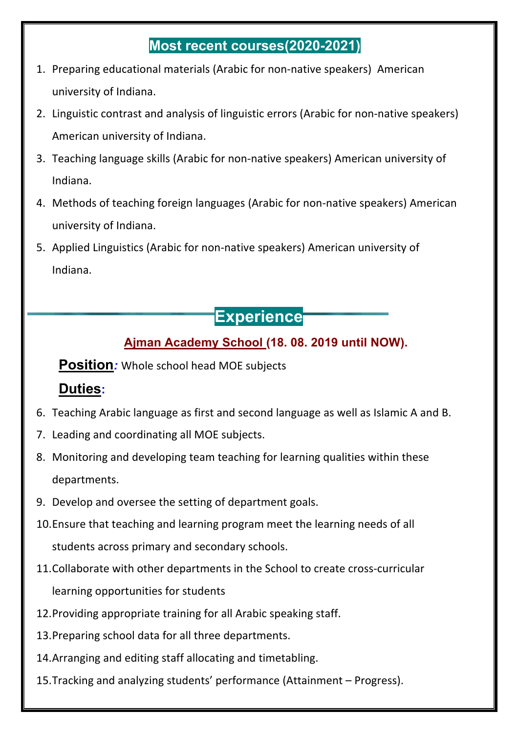### **Most recent courses(2020-2021)**

- 1. Preparing educational materials (Arabic for non-native speakers) American university of Indiana.
- 2. Linguistic contrast and analysis of linguistic errors (Arabic for non-native speakers) American university of Indiana.
- 3. Teaching language skills (Arabic for non-native speakers) American university of Indiana.
- 4. Methods of teaching foreign languages (Arabic for non-native speakers) American university of Indiana.
- 5. Applied Linguistics (Arabic for non-native speakers) American university of Indiana.

# **Experience**

### **Ajman Academy School (18. 08. 2019 until NOW).**

**Position***:* Whole school head MOE subjects

### **Duties:**

- 6. Teaching Arabic language as first and second language as well as Islamic A and B.
- 7. Leading and coordinating all MOE subjects.
- 8. Monitoring and developing team teaching for learning qualities within these departments.
- 9. Develop and oversee the setting of department goals.
- 10.Ensure that teaching and learning program meet the learning needs of all students across primary and secondary schools.
- 11.Collaborate with other departments in the School to create cross-curricular learning opportunities for students
- 12.Providing appropriate training for all Arabic speaking staff.
- 13.Preparing school data for all three departments.
- 14.Arranging and editing staff allocating and timetabling.
- 15.Tracking and analyzing students' performance (Attainment Progress).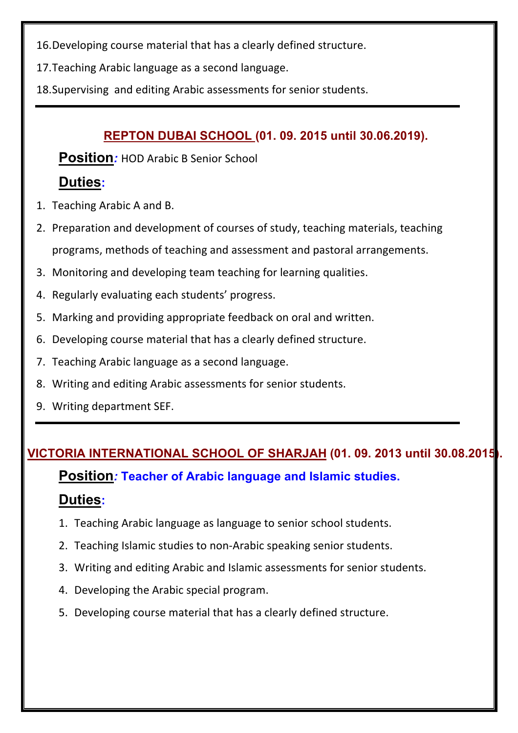16.Developing course material that has a clearly defined structure.

17.Teaching Arabic language as a second language.

18.Supervising and editing Arabic assessments for senior students.

#### **REPTON DUBAI SCHOOL (01. 09. 2015 until 30.06.2019).**

**Position***:* HOD Arabic B Senior School

### **Duties:**

- 1. Teaching Arabic A and B.
- 2. Preparation and development of courses of study, teaching materials, teaching programs, methods of teaching and assessment and pastoral arrangements.
- 3. Monitoring and developing team teaching for learning qualities.
- 4. Regularly evaluating each students' progress.
- 5. Marking and providing appropriate feedback on oral and written.
- 6. Developing course material that has a clearly defined structure.
- 7. Teaching Arabic language as a second language.
- 8. Writing and editing Arabic assessments for senior students.
- 9. Writing department SEF.

### **VICTORIA INTERNATIONAL SCHOOL OF SHARJAH (01. 09. 2013 until 30.08.2015).**

**Position***:* **Teacher of Arabic language and Islamic studies.**

### **Duties:**

- 1. Teaching Arabic language as language to senior school students.
- 2. Teaching Islamic studies to non-Arabic speaking senior students.
- 3. Writing and editing Arabic and Islamic assessments for senior students.
- 4. Developing the Arabic special program.
- 5. Developing course material that has a clearly defined structure.